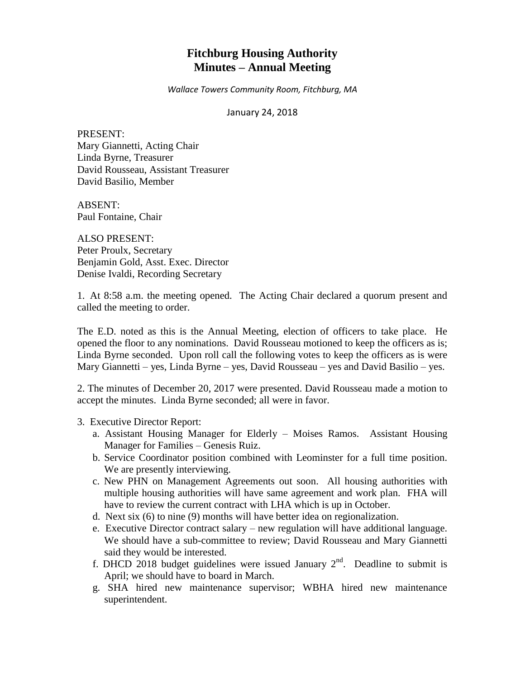# **Fitchburg Housing Authority Minutes – Annual Meeting**

*Wallace Towers Community Room, Fitchburg, MA*

January 24, 2018

PRESENT: Mary Giannetti, Acting Chair Linda Byrne, Treasurer David Rousseau, Assistant Treasurer David Basilio, Member

ABSENT: Paul Fontaine, Chair

ALSO PRESENT: Peter Proulx, Secretary Benjamin Gold, Asst. Exec. Director Denise Ivaldi, Recording Secretary

1. At 8:58 a.m. the meeting opened. The Acting Chair declared a quorum present and called the meeting to order.

The E.D. noted as this is the Annual Meeting, election of officers to take place. He opened the floor to any nominations. David Rousseau motioned to keep the officers as is; Linda Byrne seconded. Upon roll call the following votes to keep the officers as is were Mary Giannetti – yes, Linda Byrne – yes, David Rousseau – yes and David Basilio – yes.

2. The minutes of December 20, 2017 were presented. David Rousseau made a motion to accept the minutes. Linda Byrne seconded; all were in favor.

- 3. Executive Director Report:
	- a. Assistant Housing Manager for Elderly Moises Ramos. Assistant Housing Manager for Families – Genesis Ruiz.
	- b. Service Coordinator position combined with Leominster for a full time position. We are presently interviewing.
	- c. New PHN on Management Agreements out soon. All housing authorities with multiple housing authorities will have same agreement and work plan. FHA will have to review the current contract with LHA which is up in October.
	- d. Next six (6) to nine (9) months will have better idea on regionalization.
	- e. Executive Director contract salary new regulation will have additional language. We should have a sub-committee to review; David Rousseau and Mary Giannetti said they would be interested.
	- f. DHCD 2018 budget guidelines were issued January  $2<sup>nd</sup>$ . Deadline to submit is April; we should have to board in March.
	- g. SHA hired new maintenance supervisor; WBHA hired new maintenance superintendent.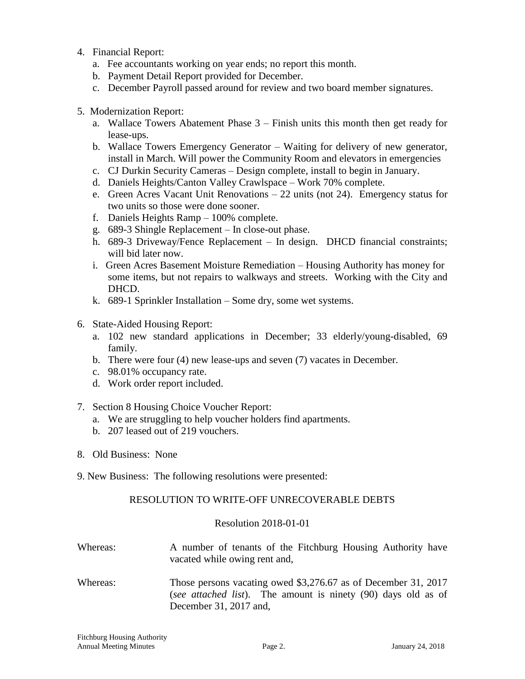- 4. Financial Report:
	- a. Fee accountants working on year ends; no report this month.
	- b. Payment Detail Report provided for December.
	- c. December Payroll passed around for review and two board member signatures.
- 5. Modernization Report:
	- a. Wallace Towers Abatement Phase 3 Finish units this month then get ready for lease-ups.
	- b. Wallace Towers Emergency Generator Waiting for delivery of new generator, install in March. Will power the Community Room and elevators in emergencies
	- c. CJ Durkin Security Cameras Design complete, install to begin in January.
	- d. Daniels Heights/Canton Valley Crawlspace Work 70% complete.
	- e. Green Acres Vacant Unit Renovations 22 units (not 24). Emergency status for two units so those were done sooner.
	- f. Daniels Heights Ramp 100% complete.
	- g. 689-3 Shingle Replacement In close-out phase.
	- h. 689-3 Driveway/Fence Replacement In design. DHCD financial constraints; will bid later now.
	- i. Green Acres Basement Moisture Remediation Housing Authority has money for some items, but not repairs to walkways and streets. Working with the City and DHCD.
	- k. 689-1 Sprinkler Installation Some dry, some wet systems.
- 6. State-Aided Housing Report:
	- a. 102 new standard applications in December; 33 elderly/young-disabled, 69 family.
	- b. There were four (4) new lease-ups and seven (7) vacates in December.
	- c. 98.01% occupancy rate.
	- d. Work order report included.
- 7. Section 8 Housing Choice Voucher Report:
	- a. We are struggling to help voucher holders find apartments.
	- b. 207 leased out of 219 vouchers.
- 8. Old Business: None
- 9. New Business: The following resolutions were presented:

## RESOLUTION TO WRITE-OFF UNRECOVERABLE DEBTS

## Resolution 2018-01-01

- Whereas: A number of tenants of the Fitchburg Housing Authority have vacated while owing rent and,
- Whereas: Those persons vacating owed \$3,276.67 as of December 31, 2017 (*see attached list*). The amount is ninety (90) days old as of December 31, 2017 and,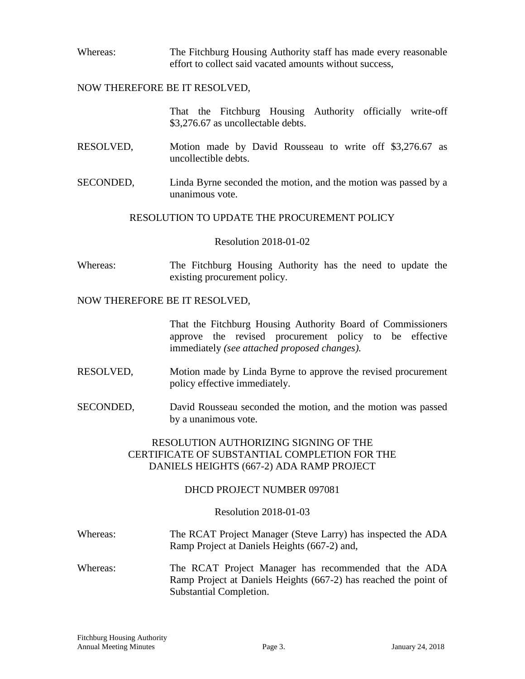Whereas: The Fitchburg Housing Authority staff has made every reasonable effort to collect said vacated amounts without success,

#### NOW THEREFORE BE IT RESOLVED,

That the Fitchburg Housing Authority officially write-off \$3,276.67 as uncollectable debts.

- RESOLVED, Motion made by David Rousseau to write off \$3,276.67 as uncollectible debts.
- SECONDED, Linda Byrne seconded the motion, and the motion was passed by a unanimous vote.

## RESOLUTION TO UPDATE THE PROCUREMENT POLICY

#### Resolution 2018-01-02

Whereas: The Fitchburg Housing Authority has the need to update the existing procurement policy.

#### NOW THEREFORE BE IT RESOLVED,

That the Fitchburg Housing Authority Board of Commissioners approve the revised procurement policy to be effective immediately *(see attached proposed changes).*

- RESOLVED, Motion made by Linda Byrne to approve the revised procurement policy effective immediately.
- SECONDED, David Rousseau seconded the motion, and the motion was passed by a unanimous vote.

# RESOLUTION AUTHORIZING SIGNING OF THE CERTIFICATE OF SUBSTANTIAL COMPLETION FOR THE DANIELS HEIGHTS (667-2) ADA RAMP PROJECT

## DHCD PROJECT NUMBER 097081

## Resolution 2018-01-03

- Whereas: The RCAT Project Manager (Steve Larry) has inspected the ADA Ramp Project at Daniels Heights (667-2) and,
- Whereas: The RCAT Project Manager has recommended that the ADA Ramp Project at Daniels Heights (667-2) has reached the point of Substantial Completion.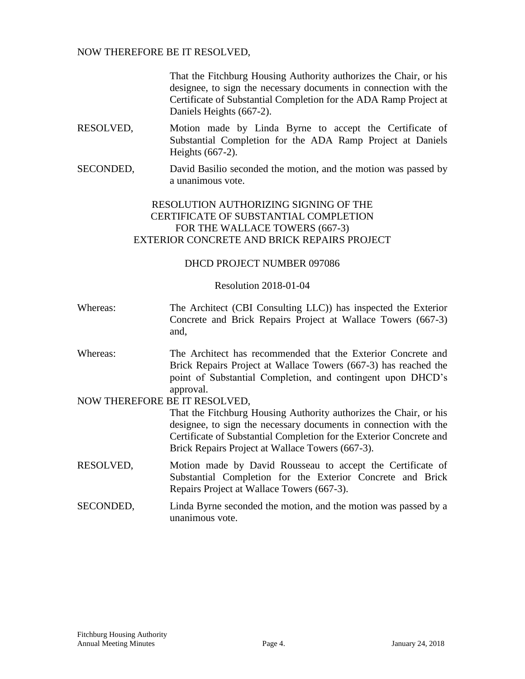## NOW THEREFORE BE IT RESOLVED,

That the Fitchburg Housing Authority authorizes the Chair, or his designee, to sign the necessary documents in connection with the Certificate of Substantial Completion for the ADA Ramp Project at Daniels Heights (667-2).

- RESOLVED, Motion made by Linda Byrne to accept the Certificate of Substantial Completion for the ADA Ramp Project at Daniels Heights (667-2).
- SECONDED, David Basilio seconded the motion, and the motion was passed by a unanimous vote.

# RESOLUTION AUTHORIZING SIGNING OF THE CERTIFICATE OF SUBSTANTIAL COMPLETION FOR THE WALLACE TOWERS (667-3) EXTERIOR CONCRETE AND BRICK REPAIRS PROJECT

## DHCD PROJECT NUMBER 097086

#### Resolution 2018-01-04

- Whereas: The Architect (CBI Consulting LLC)) has inspected the Exterior Concrete and Brick Repairs Project at Wallace Towers (667-3) and,
- Whereas: The Architect has recommended that the Exterior Concrete and Brick Repairs Project at Wallace Towers (667-3) has reached the point of Substantial Completion, and contingent upon DHCD's approval.

## NOW THEREFORE BE IT RESOLVED,

That the Fitchburg Housing Authority authorizes the Chair, or his designee, to sign the necessary documents in connection with the Certificate of Substantial Completion for the Exterior Concrete and Brick Repairs Project at Wallace Towers (667-3).

- RESOLVED, Motion made by David Rousseau to accept the Certificate of Substantial Completion for the Exterior Concrete and Brick Repairs Project at Wallace Towers (667-3).
- SECONDED, Linda Byrne seconded the motion, and the motion was passed by a unanimous vote.